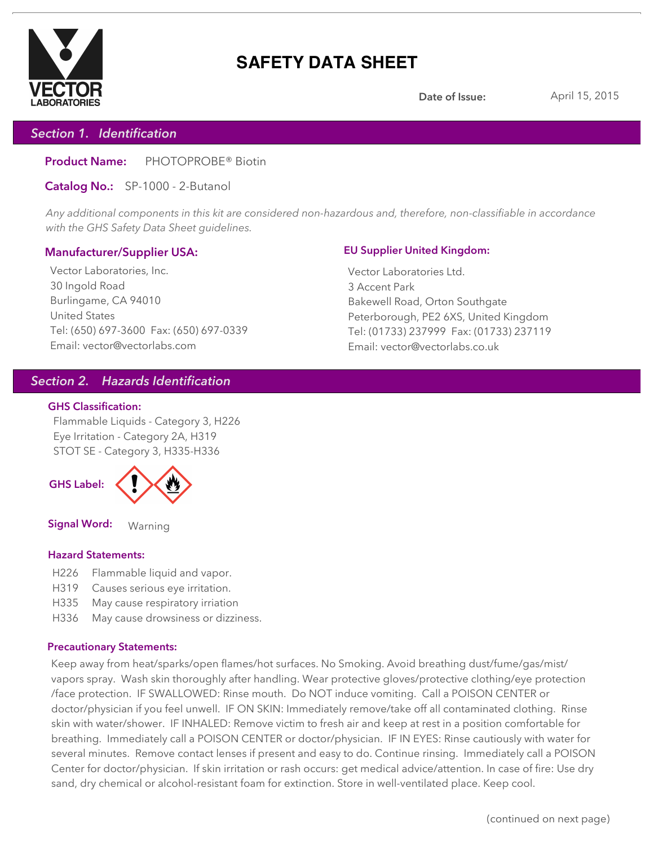

# **SAFETY DATA SHEET**

**Date of Issue:** April 15, 2015

# *Section 1. Identification*

**Product Name:** PHOTOPROBE® Biotin

**Catalog No.:** SP-1000 - 2-Butanol

*Any additional components in this kit are considered non-hazardous and, therefore, non-classifiable in accordance with the GHS Safety Data Sheet guidelines.*

## **Manufacturer/Supplier USA:**

Vector Laboratories, Inc. 30 Ingold Road Burlingame, CA 94010 United States Tel: (650) 697-3600 Fax: (650) 697-0339 Email: vector@vectorlabs.com

### **EU Supplier United Kingdom:**

Vector Laboratories Ltd. 3 Accent Park Bakewell Road, Orton Southgate Peterborough, PE2 6XS, United Kingdom Tel: (01733) 237999 Fax: (01733) 237119 Email: vector@vectorlabs.co.uk

# *Section 2. Hazards Identification*

### **GHS Classification:**

Flammable Liquids - Category 3, H226 Eye Irritation - Category 2A, H319 STOT SE - Category 3, H335-H336



**Signal Word:** Warning

## **Hazard Statements:**

- H226 Flammable liquid and vapor.
- H319 Causes serious eye irritation.
- H335 May cause respiratory irriation
- H336 May cause drowsiness or dizziness.

## **Precautionary Statements:**

Keep away from heat/sparks/open flames/hot surfaces. No Smoking. Avoid breathing dust/fume/gas/mist/ vapors spray. Wash skin thoroughly after handling. Wear protective gloves/protective clothing/eye protection /face protection. IF SWALLOWED: Rinse mouth. Do NOT induce vomiting. Call a POISON CENTER or doctor/physician if you feel unwell. IF ON SKIN: Immediately remove/take off all contaminated clothing. Rinse skin with water/shower. IF INHALED: Remove victim to fresh air and keep at rest in a position comfortable for breathing. Immediately call a POISON CENTER or doctor/physician. IF IN EYES: Rinse cautiously with water for several minutes. Remove contact lenses if present and easy to do. Continue rinsing. Immediately call a POISON Center for doctor/physician. If skin irritation or rash occurs: get medical advice/attention. In case of fire: Use dry sand, dry chemical or alcohol-resistant foam for extinction. Store in well-ventilated place. Keep cool.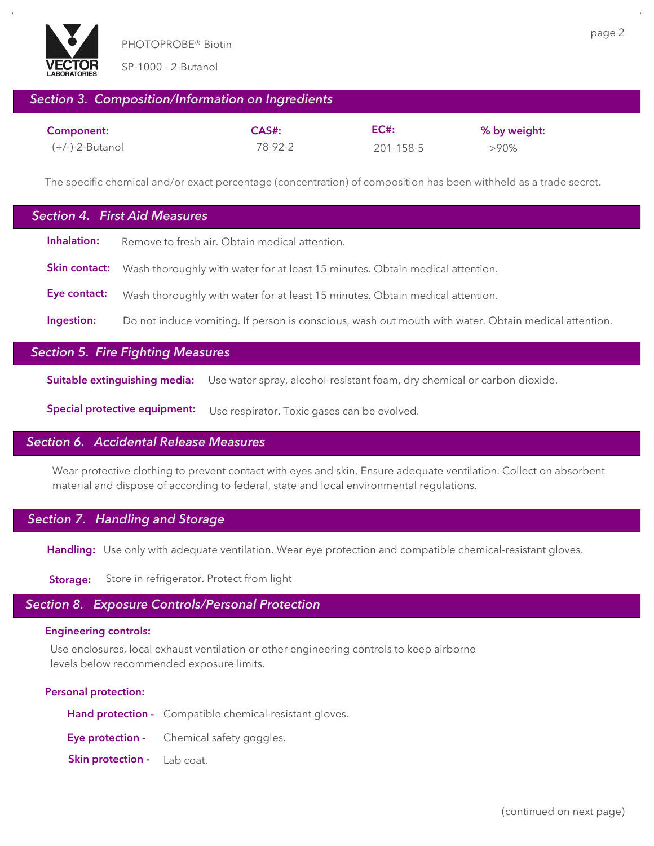

SP-1000 - 2-Butanol

# *Section 3. Composition/Information on Ingredients*

| Component:        | $CAS#$ : | EC#       | % by weight: |
|-------------------|----------|-----------|--------------|
| $(+/-)-2-Butanol$ | 78-92-2  | 201-158-5 | $>90\%$      |

The specific chemical and/or exact percentage (concentration) of composition has been withheld as a trade secret.

# **Inhalation:** Remove to fresh air. Obtain medical attention. **Ingestion:** Do not induce vomiting. If person is conscious, wash out mouth with water. Obtain medical attention. *Section 4. First Aid Measures* **Skin contact:** Wash thoroughly with water for at least 15 minutes. Obtain medical attention. **Eye contact:** Wash thoroughly with water for at least 15 minutes. Obtain medical attention.

# *Section 5. Fire Fighting Measures*

**Suitable extinguishing media:** Use water spray, alcohol-resistant foam, dry chemical or carbon dioxide.

**Special protective equipment:** Use respirator. Toxic gases can be evolved.

## *Section 6. Accidental Release Measures*

Wear protective clothing to prevent contact with eyes and skin. Ensure adequate ventilation. Collect on absorbent material and dispose of according to federal, state and local environmental regulations.

## *Section 7. Handling and Storage*

**Handling:** Use only with adequate ventilation. Wear eye protection and compatible chemical-resistant gloves.

**Storage:** Store in refrigerator. Protect from light

## *Section 8. Exposure Controls/Personal Protection*

### **Engineering controls:**

Use enclosures, local exhaust ventilation or other engineering controls to keep airborne levels below recommended exposure limits.

#### **Personal protection:**

|                                    | Hand protection - Compatible chemical-resistant gloves. |
|------------------------------------|---------------------------------------------------------|
|                                    | <b>Eye protection -</b> Chemical safety goggles.        |
| <b>Skin protection</b> - Lab coat. |                                                         |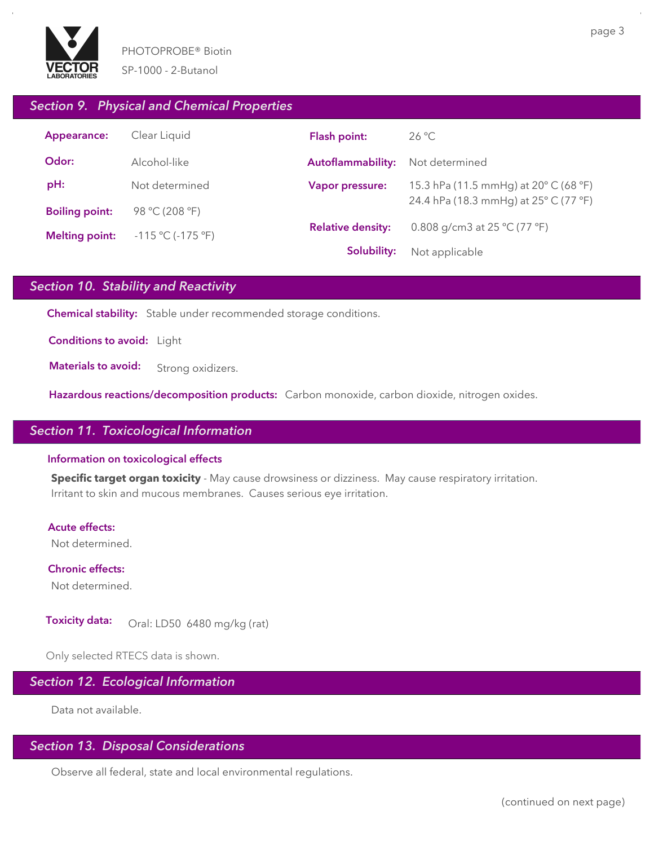

page 3

## *Section 9. Physical and Chemical Properties*

| Appearance:           | Clear Liquid                | Flash point:             | $26^{\circ}$ C                                   |  |
|-----------------------|-----------------------------|--------------------------|--------------------------------------------------|--|
| Odor:                 | Alcohol-like                | Autoflammability:        | Not determined                                   |  |
| pH:                   | Not determined              | Vapor pressure:          | 15.3 hPa (11.5 mmHg) at $20^{\circ}$ C (68 °F)   |  |
| <b>Boiling point:</b> | 98 °C (208 °F)              |                          | 24.4 hPa (18.3 mmHg) at 25° C (77 °F)            |  |
| <b>Melting point:</b> | $-115 \text{ °C}$ (-175 °F) | <b>Relative density:</b> | 0.808 g/cm3 at 25 $^{\circ}$ C (77 $^{\circ}$ F) |  |
|                       |                             | Solubility:              | Not applicable                                   |  |

# *Section 10. Stability and Reactivity*

**Chemical stability:** Stable under recommended storage conditions.

**Conditions to avoid:** Light

**Materials to avoid:** Strong oxidizers.

**Hazardous reactions/decomposition products:** Carbon monoxide, carbon dioxide, nitrogen oxides.

# *Section 11. Toxicological Information*

#### **Information on toxicological effects**

**Specific target organ toxicity** - May cause drowsiness or dizziness. May cause respiratory irritation. Irritant to skin and mucous membranes. Causes serious eye irritation.

#### **Acute effects:**

Not determined.

**Chronic effects:** Not determined.

**Toxicity data:** Oral: LD50 6480 mg/kg (rat)

Only selected RTECS data is shown.

# *Section 12. Ecological Information*

Data not available.

## *Section 13. Disposal Considerations*

Observe all federal, state and local environmental regulations.